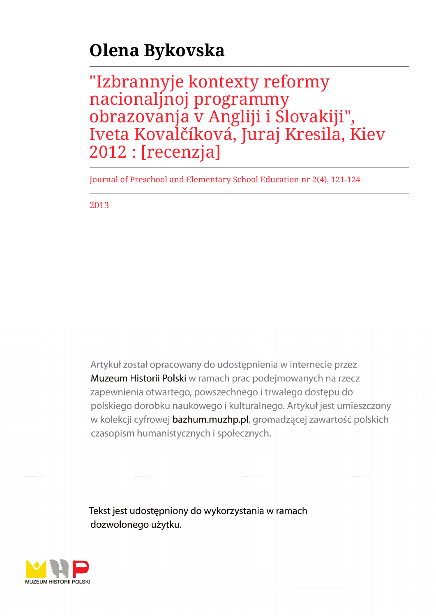## **Olena Bykovska**

"Izbrannyje kontexty reformy nacionaljnoj programmy obrazovanja v Angliji i Slovakiji", Iveta Kovalčíková, Juraj Kresila, Kiev 2012 : [recenzja]

Journal of Preschool and Elementary School Education nr 2(4), 121-124

2013

Artykuł został opracowany do udostepnienia w internecie przez Muzeum Historii Polski w ramach prac podejmowanych na rzecz zapewnienia otwartego, powszechnego i trwałego dostępu do polskiego dorobku naukowego i kulturalnego. Artykuł jest umieszczony w kolekcji cyfrowej bazhum.muzhp.pl, gromadzącej zawartość polskich czasopism humanistycznych i społecznych.

Tekst jest udostępniony do wykorzystania w ramach dozwolonego użytku.

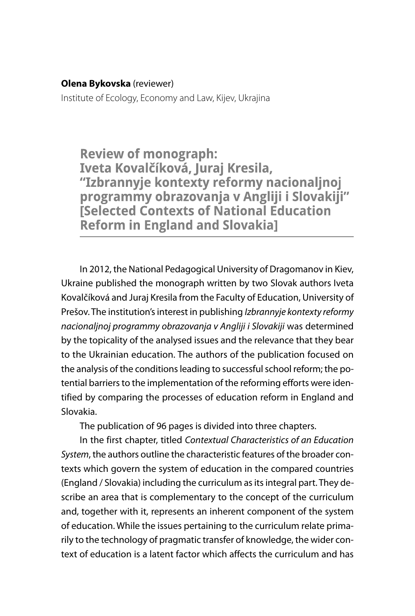## **Olena Bykovska** (reviewer)

Institute of Ecology, Economy and Law, Kijev, Ukrajina

**Review of monograph:** Iveta Kovalčíková, Juraj Kresila, "Izbrannyje kontexty reformy nacionaljnoj programmy obrazovanja v Angliji i Slovakiji" **Selected Contexts of National Education Reform in England and Slovakia]** 

In 2012, the National Pedagogical University of Dragomanov in Kiev, Ukraine published the monograph written by two Slovak authors Iveta Kovalčíková and Juraj Kresila from the Faculty of Education, University of Prešov. The institution's interest in publishing Izbrannyje kontexty reformy nacionaljnoj programmy obrazovanja v Angliji i Slovakiji was determined by the topicality of the analysed issues and the relevance that they bear to the Ukrainian education. The authors of the publication focused on the analysis of the conditions leading to successful school reform; the potential barriers to the implementation of the reforming efforts were identified by comparing the processes of education reform in England and Slovakia.

The publication of 96 pages is divided into three chapters.

In the first chapter, titled Contextual Characteristics of an Education System, the authors outline the characteristic features of the broader contexts which govern the system of education in the compared countries (England / Slovakia) including the curriculum as its integral part. They describe an area that is complementary to the concept of the curriculum and, together with it, represents an inherent component of the system of education. While the issues pertaining to the curriculum relate primarily to the technology of pragmatic transfer of knowledge, the wider context of education is a latent factor which affects the curriculum and has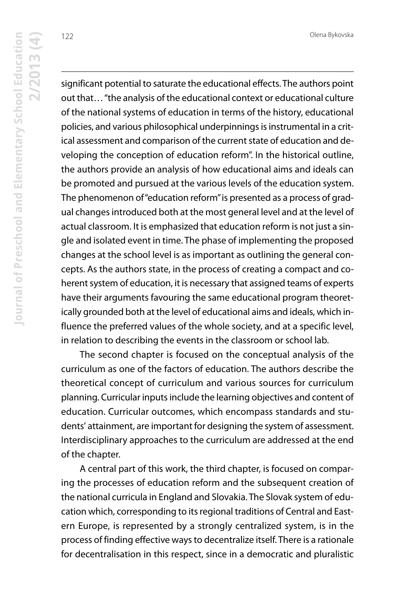Olena Bykovska

significant potential to saturate the educational effects. The authors point out that… "the analysis of the educational context or educational culture of the national systems of education in terms of the history, educational policies, and various philosophical underpinnings is instrumental in a critical assessment and comparison of the current state of education and developing the conception of education reform". In the historical outline, the authors provide an analysis of how educational aims and ideals can be promoted and pursued at the various levels of the education system. The phenomenon of "education reform" is presented as a process of gradual changes introduced both at the most general level and at the level of actual classroom. It is emphasized that education reform is not just a single and isolated event in time. The phase of implementing the proposed changes at the school level is as important as outlining the general concepts. As the authors state, in the process of creating a compact and coherent system of education, it is necessary that assigned teams of experts have their arguments favouring the same educational program theoretically grounded both at the level of educational aims and ideals, which influence the preferred values of the whole society, and at a specific level, in relation to describing the events in the classroom or school lab.

The second chapter is focused on the conceptual analysis of the curriculum as one of the factors of education. The authors describe the theoretical concept of curriculum and various sources for curriculum planning. Curricular inputs include the learning objectives and content of education. Curricular outcomes, which encompass standards and students' attainment, are important for designing the system of assessment. Interdisciplinary approaches to the curriculum are addressed at the end of the chapter.

A central part of this work, the third chapter, is focused on comparing the processes of education reform and the subsequent creation of the national curricula in England and Slovakia. The Slovak system of education which, corresponding to its regional traditions of Central and Eastern Europe, is represented by a strongly centralized system, is in the process of finding effective ways to decentralize itself. There is a rationale for decentralisation in this respect, since in a democratic and pluralistic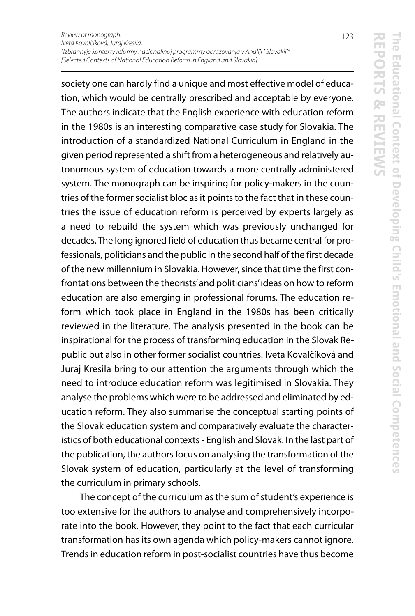society one can hardly find a unique and most effective model of education, which would be centrally prescribed and acceptable by everyone. The authors indicate that the English experience with education reform in the 1980s is an interesting comparative case study for Slovakia. The introduction of a standardized National Curriculum in England in the given period represented a shift from a heterogeneous and relatively autonomous system of education towards a more centrally administered system. The monograph can be inspiring for policy-makers in the countries of the former socialist bloc as it points to the fact that in these countries the issue of education reform is perceived by experts largely as a need to rebuild the system which was previously unchanged for decades. The long ignored field of education thus became central for professionals, politicians and the public in the second half of the first decade of the new millennium in Slovakia. However, since that time the first confrontations between the theorists' and politicians' ideas on how to reform education are also emerging in professional forums. The education reform which took place in England in the 1980s has been critically reviewed in the literature. The analysis presented in the book can be inspirational for the process of transforming education in the Slovak Republic but also in other former socialist countries. Iveta Kovalčíková and Juraj Kresila bring to our attention the arguments through which the need to introduce education reform was legitimised in Slovakia. They analyse the problems which were to be addressed and eliminated by education reform. They also summarise the conceptual starting points of the Slovak education system and comparatively evaluate the characteristics of both educational contexts - English and Slovak. In the last part of the publication, the authors focus on analysing the transformation of the Slovak system of education, particularly at the level of transforming the curriculum in primary schools.

The concept of the curriculum as the sum of student's experience is too extensive for the authors to analyse and comprehensively incorporate into the book. However, they point to the fact that each curricular transformation has its own agenda which policy-makers cannot ignore. Trends in education reform in post-socialist countries have thus become